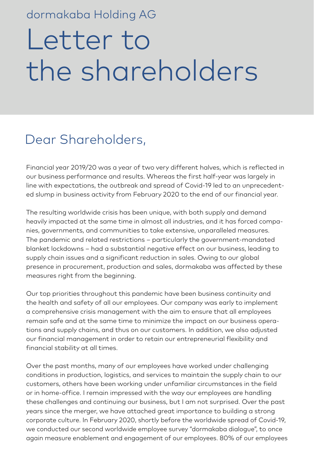### dormakaba Holding AG

# Letter to the shareholders

## Dear Shareholders,

Financial year 2019/20 was a year of two very different halves, which is reflected in our business performance and results. Whereas the first half-year was largely in line with expectations, the outbreak and spread of Covid-19 led to an unprecedented slump in business activity from February 2020 to the end of our financial year.

The resulting worldwide crisis has been unique, with both supply and demand heavily impacted at the same time in almost all industries, and it has forced companies, governments, and communities to take extensive, unparalleled measures. The pandemic and related restrictions – particularly the government-mandated blanket lockdowns – had a substantial negative effect on our business, leading to supply chain issues and a significant reduction in sales. Owing to our global presence in procurement, production and sales, dormakaba was affected by these measures right from the beginning.

Our top priorities throughout this pandemic have been business continuity and the health and safety of all our employees. Our company was early to implement a comprehensive crisis management with the aim to ensure that all employees remain safe and at the same time to minimize the impact on our business operations and supply chains, and thus on our customers. In addition, we also adjusted our financial management in order to retain our entrepreneurial flexibility and financial stability at all times.

Over the past months, many of our employees have worked under challenging conditions in production, logistics, and services to maintain the supply chain to our customers, others have been working under unfamiliar circumstances in the field or in home-office. I remain impressed with the way our employees are handling these challenges and continuing our business, but I am not surprised. Over the past years since the merger, we have attached great importance to building a strong corporate culture. In February 2020, shortly before the worldwide spread of Covid-19, we conducted our second worldwide employee survey "dormakaba dialogue", to once again measure enablement and engagement of our employees. 80% of our employees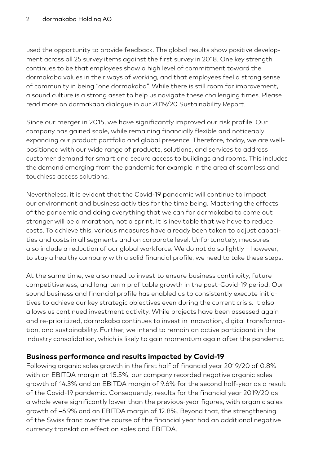used the opportunity to provide feedback. The global results show positive development across all 25 survey items against the first survey in 2018. One key strength continues to be that employees show a high level of commitment toward the dormakaba values in their ways of working, and that employees feel a strong sense of community in being "one dormakaba". While there is still room for improvement, a sound culture is a strong asset to help us navigate these challenging times. Please read more on dormakaba dialogue in our 2019/20 Sustainability Report.

Since our merger in 2015, we have significantly improved our risk profile. Our company has gained scale, while remaining financially flexible and noticeably expanding our product portfolio and global presence. Therefore, today, we are wellpositioned with our wide range of products, solutions, and services to address customer demand for smart and secure access to buildings and rooms. This includes the demand emerging from the pandemic for example in the area of seamless and touchless access solutions.

Nevertheless, it is evident that the Covid-19 pandemic will continue to impact our environment and business activities for the time being. Mastering the effects of the pandemic and doing everything that we can for dormakaba to come out stronger will be a marathon, not a sprint. It is inevitable that we have to reduce costs. To achieve this, various measures have already been taken to adjust capacities and costs in all segments and on corporate level. Unfortunately, measures also include a reduction of our global workforce. We do not do so lightly – however, to stay a healthy company with a solid financial profile, we need to take these steps.

At the same time, we also need to invest to ensure business continuity, future competitiveness, and long-term profitable growth in the post-Covid-19 period. Our sound business and financial profile has enabled us to consistently execute initiatives to achieve our key strategic objectives even during the current crisis. It also allows us continued investment activity. While projects have been assessed again and re-prioritized, dormakaba continues to invest in innovation, digital transformation, and sustainability. Further, we intend to remain an active participant in the industry consolidation, which is likely to gain momentum again after the pandemic.

#### **Business performance and results impacted by Covid-19**

Following organic sales growth in the first half of financial year 2019/20 of 0.8% with an EBITDA margin at 15.5%, our company recorded negative organic sales growth of 14.3% and an EBITDA margin of 9.6% for the second half-year as a result of the Covid-19 pandemic. Consequently, results for the financial year 2019/20 as a whole were significantly lower than the previous-year figures, with organic sales growth of –6.9% and an EBITDA margin of 12.8%. Beyond that, the strengthening of the Swiss franc over the course of the financial year had an additional negative currency translation effect on sales and EBITDA.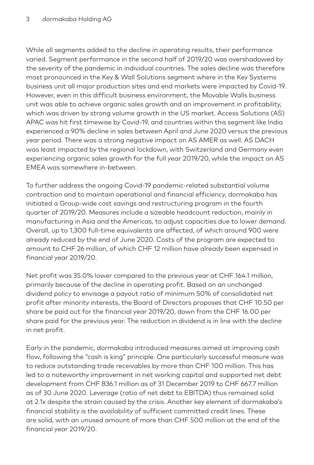While all segments added to the decline in operating results, their performance varied. Segment performance in the second half of 2019/20 was overshadowed by the severity of the pandemic in individual countries. The sales decline was therefore most pronounced in the Key & Wall Solutions segment where in the Key Systems business unit all major production sites and end markets were impacted by Covid-19. However, even in this difficult business environment, the Movable Walls business unit was able to achieve organic sales growth and an improvement in profitability, which was driven by strong volume growth in the US market. Access Solutions (AS) APAC was hit first timewise by Covid-19, and countries within this segment like India experienced a 90% decline in sales between April and June 2020 versus the previous year period. There was a strong negative impact on AS AMER as well. AS DACH was least impacted by the regional lockdown, with Switzerland and Germany even experiencing organic sales growth for the full year 2019/20, while the impact on AS EMEA was somewhere in-between.

To further address the ongoing Covid-19 pandemic-related substantial volume contraction and to maintain operational and financial efficiency, dormakaba has initiated a Group-wide cost savings and restructuring program in the fourth quarter of 2019/20. Measures include a sizeable headcount reduction, mainly in manufacturing in Asia and the Americas, to adjust capacities due to lower demand. Overall, up to 1,300 full-time equivalents are affected, of which around 900 were already reduced by the end of June 2020. Costs of the program are expected to amount to CHF 26 million, of which CHF 12 million have already been expensed in financial year 2019/20.

Net profit was 35.0% lower compared to the previous year at CHF 164.1 million, primarily because of the decline in operating profit. Based on an unchanged dividend policy to envisage a payout ratio of minimum 50% of consolidated net profit after minority interests, the Board of Directors proposes that CHF 10.50 per share be paid out for the financial year 2019/20, down from the CHF 16.00 per share paid for the previous year. The reduction in dividend is in line with the decline in net profit.

Early in the pandemic, dormakaba introduced measures aimed at improving cash flow, following the "cash is king" principle. One particularly successful measure was to reduce outstanding trade receivables by more than CHF 100 million. This has led to a noteworthy improvement in net working capital and supported net debt development from CHF 836.1 million as of 31 December 2019 to CHF 667.7 million as of 30 June 2020. Leverage (ratio of net debt to EBITDA) thus remained solid at 2.1x despite the strain caused by the crisis. Another key element of dormakaba's financial stability is the availability of sufficient committed credit lines. These are solid, with an unused amount of more than CHF 500 million at the end of the financial year 2019/20.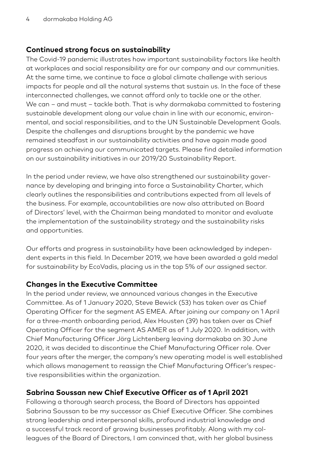#### **Continued strong focus on sustainability**

The Covid-19 pandemic illustrates how important sustainability factors like health at workplaces and social responsibility are for our company and our communities. At the same time, we continue to face a global climate challenge with serious impacts for people and all the natural systems that sustain us. In the face of these interconnected challenges, we cannot afford only to tackle one or the other. We can – and must – tackle both. That is why dormakaba committed to fostering sustainable development along our value chain in line with our economic, environmental, and social responsibilities, and to the UN Sustainable Development Goals. Despite the challenges and disruptions brought by the pandemic we have remained steadfast in our sustainability activities and have again made good progress on achieving our communicated targets. Please find detailed information on our sustainability initiatives in our 2019/20 Sustainability Report.

In the period under review, we have also strengthened our sustainability governance by developing and bringing into force a Sustainability Charter, which clearly outlines the responsibilities and contributions expected from all levels of the business. For example, accountabilities are now also attributed on Board of Directors' level, with the Chairman being mandated to monitor and evaluate the implementation of the sustainability strategy and the sustainability risks and opportunities.

Our efforts and progress in sustainability have been acknowledged by independent experts in this field. In December 2019, we have been awarded a gold medal for sustainability by EcoVadis, placing us in the top 5% of our assigned sector.

#### **Changes in the Executive Committee**

In the period under review, we announced various changes in the Executive Committee. As of 1 January 2020, Steve Bewick (53) has taken over as Chief Operating Officer for the segment AS EMEA. After joining our company on 1 April for a three-month onboarding period, Alex Housten (39) has taken over as Chief Operating Officer for the segment AS AMER as of 1 July 2020. In addition, with Chief Manufacturing Officer Jörg Lichtenberg leaving dormakaba on 30 June 2020, it was decided to discontinue the Chief Manufacturing Officer role. Over four years after the merger, the company's new operating model is well established which allows management to reassign the Chief Manufacturing Officer's respective responsibilities within the organization.

#### **Sabrina Soussan new Chief Executive Officer as of 1 April 2021**

Following a thorough search process, the Board of Directors has appointed Sabrina Soussan to be my successor as Chief Executive Officer. She combines strong leadership and interpersonal skills, profound industrial knowledge and a successful track record of growing businesses profitably. Along with my colleagues of the Board of Directors, I am convinced that, with her global business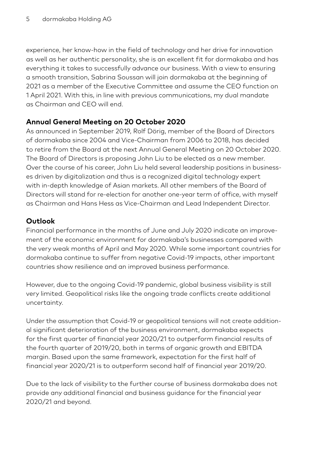experience, her know-how in the field of technology and her drive for innovation as well as her authentic personality, she is an excellent fit for dormakaba and has everything it takes to successfully advance our business. With a view to ensuring a smooth transition, Sabrina Soussan will join dormakaba at the beginning of 2021 as a member of the Executive Committee and assume the CEO function on 1 April 2021. With this, in line with previous communications, my dual mandate as Chairman and CEO will end.

#### **Annual General Meeting on 20 October 2020**

As announced in September 2019, Rolf Dörig, member of the Board of Directors of dormakaba since 2004 and Vice-Chairman from 2006 to 2018, has decided to retire from the Board at the next Annual General Meeting on 20 October 2020. The Board of Directors is proposing John Liu to be elected as a new member. Over the course of his career, John Liu held several leadership positions in businesses driven by digitalization and thus is a recognized digital technology expert with in-depth knowledge of Asian markets. All other members of the Board of Directors will stand for re-election for another one-year term of office, with myself as Chairman and Hans Hess as Vice-Chairman and Lead Independent Director.

#### **Outlook**

Financial performance in the months of June and July 2020 indicate an improvement of the economic environment for dormakaba's businesses compared with the very weak months of April and May 2020. While some important countries for dormakaba continue to suffer from negative Covid-19 impacts, other important countries show resilience and an improved business performance.

However, due to the ongoing Covid-19 pandemic, global business visibility is still very limited. Geopolitical risks like the ongoing trade conflicts create additional uncertainty.

Under the assumption that Covid-19 or geopolitical tensions will not create additional significant deterioration of the business environment, dormakaba expects for the first quarter of financial year 2020/21 to outperform financial results of the fourth quarter of 2019/20, both in terms of organic growth and EBITDA margin. Based upon the same framework, expectation for the first half of financial year 2020/21 is to outperform second half of financial year 2019/20.

Due to the lack of visibility to the further course of business dormakaba does not provide any additional financial and business guidance for the financial year 2020/21 and beyond.